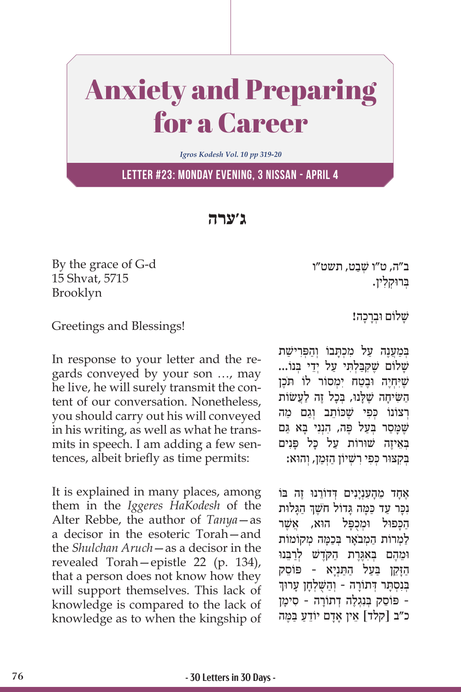## Anxiety and Preparing for a Career

*Igros Kodesh Vol. 10 pp 319-20*

**Letter #23: Monday Evening, 3 Nissan - April 4**

**ג'ערה**

By the grace of G-d 15 Shvat, 5715 Brooklyn

ב״ה, ט״ו שַׁבט, תשט״ו ְּב ּרו ְק ִלין.

## Greetings and Blessings!

In response to your letter and the regards conveyed by your son …, may he live, he will surely transmit the content of our conversation. Nonetheless, you should carry out his will conveyed in his writing, as well as what he transmits in speech. I am adding a few sentences, albeit briefly as time permits:

It is explained in many places, among them in the *Iggeres HaKodesh* of the Alter Rebbe, the author of *Tanya*—as a decisor in the esoteric Torah—and the *Shulchan Aruch*—as a decisor in the revealed Torah—epistle 22 (p. 134), that a person does not know how they will support themselves. This lack of knowledge is compared to the lack of knowledge as to when the kingship of שַׁלוֹם וּבְרַכָה!

במענה על מכתבו והפרישת  $\psi$ שַׁלוֹם שֶׁקְבַּלְתֵּי עַל יְדֵי בִּנוֹ... שֵׁיְּחָיֵה וּבֵטַח יִמְסוֹר לוֹ תֹּכֵן הַשִּׂיחָה שֶׁלָּנוּ, בְּכָל זֶה לַעֲשׂוֹת רְצוֹנוֹ כִּפִ*ּי שֶׁ*כּוֹתֵב וְגַם מַה שֶּׁ ָּמַס ְּ ר בַעל פֶּ ִ ה, הְנִנ ָּ י ב ַּ א גם בְּאֵיזֶה שׁוּרוֹת עַל כַּל פַּנִים ְּב ִק ּצ ּו ְר כּ ִפ ִי רשׁ ְ ַ יוֹ ן הְּזַמ ְ ן, ו ּהוא:

ָאָחָד מֵהָעִנְיָנִים דְּדוֹרֵנוּ זֵה בּוֹ ֧֧֧֧֦֧֢ׅ֖֖֖֧֚֚֚֚֝֝֬<u>֚</u> ּנִכָּר עַד כַּמָּה גָּדוֹל חֹשֶׁךְ הַגָּלוּת הכפול וּמִכְפּל הוּא, אשֵׁר ַלְמְרוֹת הַמְבֹאֵר בְּכָמַה מְקוֹמוֹת וּמֶהֶם בְּאַגֶּרֶת הַקְ*רֶשׁ* לְרַבְּנוּ הַזַּקֵן בַּעֲל הַתַּנְיַא - פּוֹסֶק ַבְּנִסְתַּר דְּתוֹרָה - וְהַשָּׁלְחָן עָרוּך ֵ - פּ וֹ ס ְּ ק בִנְגֶל ְה ד ָתוֹ ר ִ ה - ס ָימן כ"ב [קלד] אֵין אַדַם יוֹדֵעַ בַּמֵּה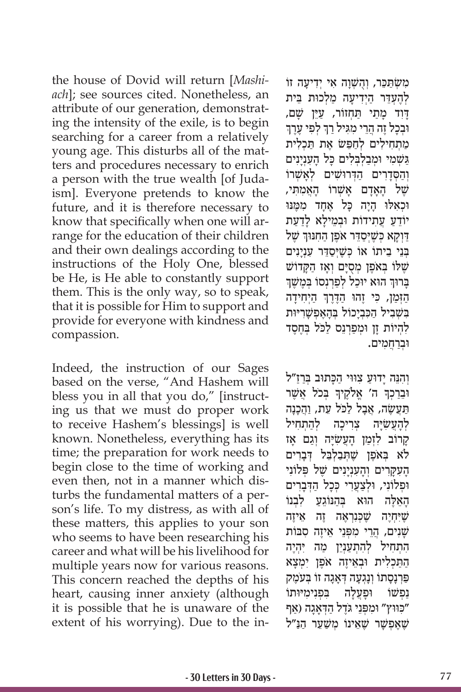the house of Dovid will return [*Mashiach*]; see sources cited. Nonetheless, an attribute of our generation, demonstrating the intensity of the exile, is to begin searching for a career from a relatively young age. This disturbs all of the matters and procedures necessary to enrich a person with the true wealth [of Judaism]. Everyone pretends to know the future, and it is therefore necessary to know that specifically when one will arrange for the education of their children and their own dealings according to the instructions of the Holy One, blessed be He, is He able to constantly support them. This is the only way, so to speak, that it is possible for Him to support and provide for everyone with kindness and compassion.

Indeed, the instruction of our Sages based on the verse, "And Hashem will bless you in all that you do," [instructing us that we must do proper work to receive Hashem's blessings] is well known. Nonetheless, everything has its time; the preparation for work needs to begin close to the time of working and even then, not in a manner which disturbs the fundamental matters of a person's life. To my distress, as with all of these matters, this applies to your son who seems to have been researching his career and what will be his livelihood for multiple years now for various reasons. This concern reached the depths of his heart, causing inner anxiety (although it is possible that he is unaware of the extent of his worrying). Due to the in-

ִמ ְשׂ ַּתֵכּ ְ ר, וֻהשׁ ְ ָו ִה א ְ י יִד ָיעה זוֹ לְהֶעָדֵר הַיִדִיעַה מַלְכוּת בֵּית דָּוִד כְּתַי תַּחְזוֹר, עַיֵּן שָׁם,<br>וּבְכָל זֶה הֲרֵי מִגִּיל רַךְ לְפִי עֶרֶךְ ֦֧֧֦֧֢ׅ֧֓֓<u>֓</u> מתחילים לחפּשׂ את תכלית גּשָׁמי וּמַבלְבַלים כּל הענִינים וְהַסְדָרִים הַדְּרוּשִׁים לְאָשָׁרוֹ שֶׁל הַאֲדַם אַשָּׁרוֹ הַאֲמִתִּי, וּכְאַלוּ הַיַה כַּל אֶחַד מִמֵּנּוּ יוֹדֵעַ עֵתִידוֹת וּבְמֵילַא לַדַעַת ַדְוְקָא כְּשֶׁיְסַדֵּר אֹפֶן הַחִנּוּךְ שֶׁל ַבְּנֵי בֵיתוֹ אוֹ כִּשֵׁיִּסַדֵּר עָנְיַנִים שֶׁלּוֹ בְּאֹפֶן מְסֻיָּם וְאָז הַקָּדוֹשׁ<br>ברוּד הוּא יוכל לפרנסו במשד ֧֧֧֖֖֖֖֖֖֧֚֚֚֚֚֚֚֚֝֝֬<u>֓</u> בְּרוּךְ הוּא יוּכַל לְפַרְנְסוֹ בְּמֶשֶׁךְ ׇׅ֧֖֖֖֖֖֖֖֖֖֖֧֪ׅ֪֪ׅ֧֧֧֧֧֚֚֚֚֚֚֚֚֚֚֚֓֝֬֝֓֓֓֞֓֓֓֞֓֡֓֓֞֓֡֓֓֞֓֡֓֓֞֓֡֬֓֓֞֓֡֬֓֓֞֓֝֬֓֝֬֝֬֝֬֝ הַזְּמַן, כִּי זֶהוּ הַדֶּרֶךְ הַיְחִידָה בִּשְׁבִיל הַכְּבְיָכוֹל בְּהָאֱפִשָּׁרִיּוּת להֵיוֹת זן וּמַפִּרְנֵס לכּל בְּחֵסֶד ּו ְבַרֲח ִמים.

וְהִנֵּה יַדוּעַ צְוּוִי הַכָּתוּב בְּרַזַ״ל ָּוּבֵרַכְךָּ ה' אֱלֹקֶיךָ בְּכֹל אֲשֶׁר ָתַּעֲשׂה, אָבל לכּל עַת, והכנה צִרִיכַה לְהַתְחִיל ְלָהֲע ִשָׂ ַקְרוֹב לִזְמַן הָעֲשָׂיֶה וְגַם אָז ְּ לֹא ב ֶאֹפן שֶׁ ְּתַב ְלֵּב ְ ּ ל דָבִרים ָהַעָּקַרִים וְהַעָנְיַנִים שֵׁל פִּלוֹנִי וּפִלוֹנִי, וּלִצַעֲרִי כִּכַל הַדְּבַרִים הָאֵלֶה הוּא בְּהַנּוֹגֵעַ לִבְנוֹ שֵׁיְּחָיֵה שֵׁכִּנְרְאֵה זֶה אֵיזָה שׁנים, הִרִי מפִּנֵי אֵיזָה סבּוֹת הָתְחִיל לְהָתְעֲנָיֵן מַה יְהָיֵה ַהַתַּכְלִית וּבְאֵיזֶה אֹפֵן יְמִצַא פַּרְנַסַתוֹ וְנַגְעָה דְאָגָה זוֹ בְּעֹמֶק ַנְפְעׁוֹ וּפַעֲלַה בִּפְנימיּוּתוֹ כּוּוּץ" וּמִפְּנֵי גֹּדֵל הַדְאָגָה (אַף שׁאפשר שאינוֹ משער הנ"ל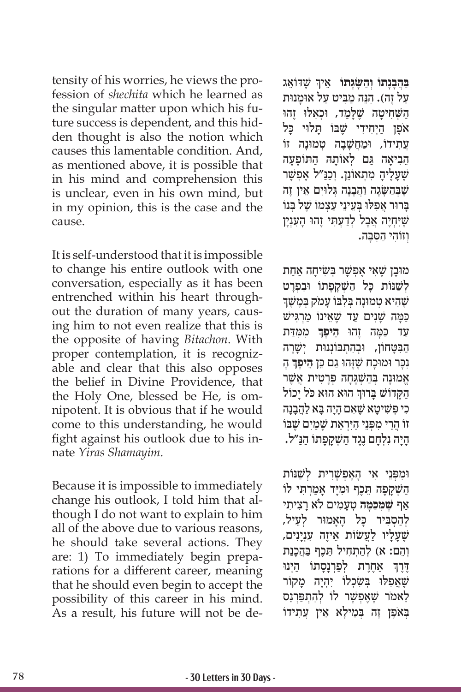tensity of his worries, he views the profession of *shechita* which he learned as the singular matter upon which his future success is dependent, and this hidden thought is also the notion which causes this lamentable condition. And, as mentioned above, it is possible that in his mind and comprehension this is unclear, even in his own mind, but in my opinion, this is the case and the cause.

It is self-understood that it is impossible to change his entire outlook with one conversation, especially as it has been entrenched within his heart throughout the duration of many years, causing him to not even realize that this is the opposite of having *Bitachon*. With proper contemplation, it is recognizable and clear that this also opposes the belief in Divine Providence, that the Holy One, blessed be He, is omnipotent. It is obvious that if he would come to this understanding, he would fight against his outlook due to his innate *Yiras Shamayim*.

Because it is impossible to immediately change his outlook, I told him that although I do not want to explain to him all of the above due to various reasons, he should take several actions. They are: 1) To immediately begin preparations for a different career, meaning that he should even begin to accept the possibility of this career in his mind. As a result, his future will not be de**ְבַּבְנָתוֹ וְהַשָּׂגָתוֹ אֵיךְ שֶׁדּוֹאֵג ַ** על זה). הנּה מביט על אוּמנוּת הַשְּׁחִיטָה שֶׁלָּמַד, וּכְאִלּוּ זֶהוּ אֹפֵן הַיְחִידִי שֵׁבּוֹ תַּלוּי כַּל ַעתידוֹ, וּמַחשַׁבה טמוּנה זוֹ הֵביאה גם לְאוֹתהּ התּוֹפַעה שֶׁעֲלֵיהָ מְתָאוֹנֵן. וְכַנַּ״ל אֱפִשָּׁר שִׁבַּהשׂגה והבנה גלוים אין זה ָברוּר אפלוּ בַעיני עצמוֹ של בּנוֹ שֵׁיָּחָיֶה אָבַל לְדַעָתִּי זֶהוּ הַעָנְיַן וזוֹהי הסבה.

ּמוָבן שֶׁ ִא ֶ י א ְפשָׁ ְּר ב ִשׂ ָיח ַה אַחת לְשַׁנּוֹת כָּל הַשָּׁקַפָּתוֹ וּבְפְרַט שֶׁהִיא טְמוּנַה בְּלְבּוֹ עַמֹק בְּמֶשֶׁךְ כּמה שַׁנִים עַד שֵׁאֵינוֹ מַרְגִּישׁ **ְ** ִ מ ִּמַּדת ַע ַ ד כּ ָּמ ֶ ה ז ּהו **ֵה ֶיפך** הבטחוֹן, וּבָהתִבּוֹנְנוּת יִשׁרה **ּנִכָּר וּמוּכָה שֶׁזֶהוּ גַם כֵּן הֵיפֶךְ** הָ ַ אֲמוּנָה בְּהַשְׁגָּחָה פְּרָטִית אֲשֶׁר ֧֧֧֖֖֖֖֖֖֧֚֚֚֚֚֚֚֚֝֝֬<u>֓</u> הַקְּדוֹשׁ בָּרוּךְ הוּא הוּא כֹּל יָכוֹל כי פּשׁיטא שאם היה בא להבנה ֲ זוֹ הֵר ִ י מפְּ ֵנ ַ י ה ּיִ ְרַאת שָׁ ַמִים שֶׁ ּבוֹ ָהִיה נַלְחִם נֶגֶד השַׁקְפַּתוֹ הַנּ״ל.

וּמִפְּנֵי אִי הָאֶפִשָּׁרִית לְשַׁנּוֹת ְהַשְׁקָפָה תֵכֶף וּמִיָּד אָמַרְתִּי לוֹ **ּכָּמה** ְ טָע ִמ ָ ים לֹא רִצ ִיתי ַאף **שֶׁ ּמ ִ ַ** לְהַסְבִּיר כַּל הַאֲמוּר לְעֵיל, שֶׁעֲלַיו לַעֲשׂוֹת אֵיזֶה עִנְיַנִים, וְהֵם: א) לִהתְחִיל תֵּכֵף בַּהְכִנת ֧֧֧֦֧֢ׅ֖֖֖֖֧֚֚֚֚֚֝֝֬<u>֚</u> דֶרֶךְ אַחֶרֶת לְפַרְנָסָתוֹ הַיְנוּ שֵׁאפלוּ בַּשׂכָלוֹ יהָיֶה מקוֹר לאמֹר שַׁאפִשַׁר לוֹ להתפּרנס ַ בְּאֹפֵן זֶה בְּמֵילַא אֵין עֲתִידוֹ